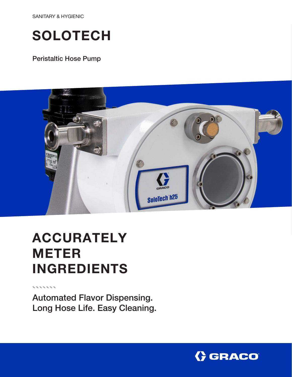SANITARY & HYGIENIC

# **SOLOTECH**

### Peristaltic Hose Pump



# ACCURATELY METER INGREDIENTS

Automated Flavor Dispensing. Long Hose Life. Easy Cleaning.